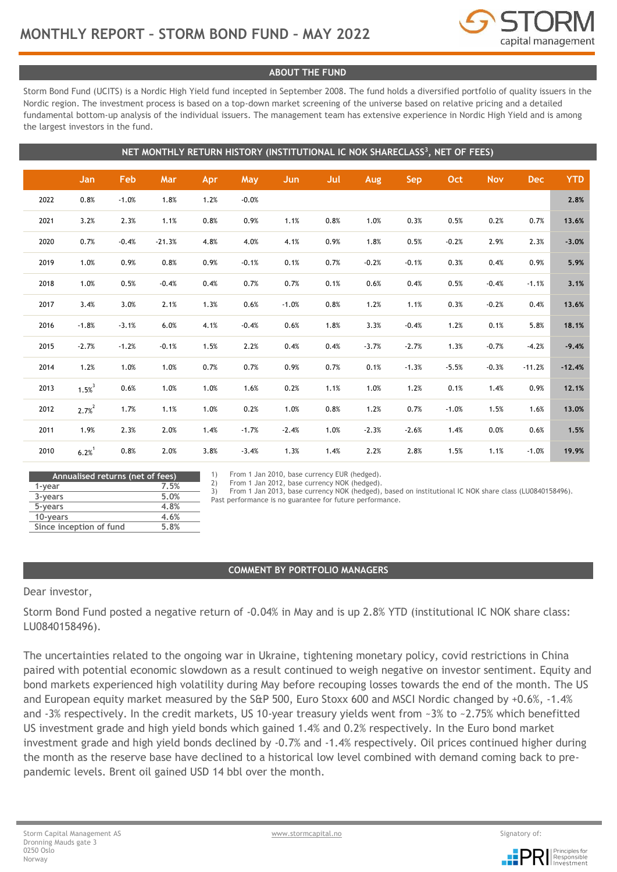

## **ABOUT THE FUND**

Storm Bond Fund (UCITS) is a Nordic High Yield fund incepted in September 2008. The fund holds a diversified portfolio of quality issuers in the Nordic region. The investment process is based on a top-down market screening of the universe based on relative pricing and a detailed fundamental bottom-up analysis of the individual issuers. The management team has extensive experience in Nordic High Yield and is among the largest investors in the fund.

|      | NET MONTHLY RETURN HISTORY (INSTITUTIONAL IC NOK SHARECLASS <sup>3</sup> , NET OF FEES) |         |          |      |         |            |      |         |            |         |            |            |            |
|------|-----------------------------------------------------------------------------------------|---------|----------|------|---------|------------|------|---------|------------|---------|------------|------------|------------|
|      | Jan                                                                                     | Feb     | Mar      | Apr  | May     | <b>Jun</b> | Jul  | Aug     | <b>Sep</b> | Oct     | <b>Nov</b> | <b>Dec</b> | <b>YTD</b> |
| 2022 | 0.8%                                                                                    | $-1.0%$ | 1.8%     | 1.2% | $-0.0%$ |            |      |         |            |         |            |            | 2.8%       |
| 2021 | 3.2%                                                                                    | 2.3%    | 1.1%     | 0.8% | 0.9%    | 1.1%       | 0.8% | 1.0%    | 0.3%       | 0.5%    | 0.2%       | 0.7%       | 13.6%      |
| 2020 | 0.7%                                                                                    | $-0.4%$ | $-21.3%$ | 4.8% | 4.0%    | 4.1%       | 0.9% | 1.8%    | 0.5%       | $-0.2%$ | 2.9%       | 2.3%       | $-3.0%$    |
| 2019 | 1.0%                                                                                    | 0.9%    | 0.8%     | 0.9% | $-0.1%$ | 0.1%       | 0.7% | $-0.2%$ | $-0.1%$    | 0.3%    | 0.4%       | 0.9%       | 5.9%       |
| 2018 | 1.0%                                                                                    | 0.5%    | $-0.4%$  | 0.4% | 0.7%    | 0.7%       | 0.1% | 0.6%    | 0.4%       | 0.5%    | $-0.4%$    | $-1.1%$    | 3.1%       |
| 2017 | 3.4%                                                                                    | 3.0%    | 2.1%     | 1.3% | 0.6%    | $-1.0%$    | 0.8% | 1.2%    | 1.1%       | 0.3%    | $-0.2%$    | 0.4%       | 13.6%      |
| 2016 | $-1.8%$                                                                                 | $-3.1%$ | 6.0%     | 4.1% | $-0.4%$ | 0.6%       | 1.8% | 3.3%    | $-0.4%$    | 1.2%    | 0.1%       | 5.8%       | 18.1%      |
| 2015 | $-2.7%$                                                                                 | $-1.2%$ | $-0.1%$  | 1.5% | 2.2%    | 0.4%       | 0.4% | $-3.7%$ | $-2.7%$    | 1.3%    | $-0.7%$    | $-4.2%$    | $-9.4%$    |
| 2014 | 1.2%                                                                                    | 1.0%    | 1.0%     | 0.7% | 0.7%    | 0.9%       | 0.7% | 0.1%    | $-1.3%$    | $-5.5%$ | $-0.3%$    | $-11.2%$   | $-12.4%$   |
| 2013 | $1.5%^{3}$                                                                              | 0.6%    | 1.0%     | 1.0% | 1.6%    | 0.2%       | 1.1% | 1.0%    | 1.2%       | 0.1%    | 1.4%       | 0.9%       | 12.1%      |
| 2012 | $2.7%^{2}$                                                                              | 1.7%    | 1.1%     | 1.0% | 0.2%    | 1.0%       | 0.8% | 1.2%    | 0.7%       | $-1.0%$ | 1.5%       | 1.6%       | 13.0%      |
| 2011 | 1.9%                                                                                    | 2.3%    | 2.0%     | 1.4% | $-1.7%$ | $-2.4%$    | 1.0% | $-2.3%$ | $-2.6%$    | 1.4%    | 0.0%       | 0.6%       | 1.5%       |
| 2010 | $6.2%^{1}$                                                                              | 0.8%    | 2.0%     | 3.8% | $-3.4%$ | 1.3%       | 1.4% | 2.2%    | 2.8%       | 1.5%    | 1.1%       | $-1.0%$    | 19.9%      |

| Annualised returns (net of fees) |      |  |  |  |  |
|----------------------------------|------|--|--|--|--|
| 1-year                           | 7.5% |  |  |  |  |
| 3-years                          | 5.0% |  |  |  |  |
| 5-years                          | 4.8% |  |  |  |  |
| 10-years                         | 4.6% |  |  |  |  |
| Since inception of fund          | 5.8% |  |  |  |  |
|                                  |      |  |  |  |  |

1) From 1 Jan 2010, base currency EUR (hedged).

2) From 1 Jan 2012, base currency NOK (hedged).

3) From 1 Jan 2013, base currency NOK (hedged), based on institutional IC NOK share class (LU0840158496).

Past performance is no guarantee for future performance.

#### **COMMENT BY PORTFOLIO MANAGERS**

Dear investor,

Storm Bond Fund posted a negative return of -0.04% in May and is up 2.8% YTD (institutional IC NOK share class: LU0840158496).

The uncertainties related to the ongoing war in Ukraine, tightening monetary policy, covid restrictions in China paired with potential economic slowdown as a result continued to weigh negative on investor sentiment. Equity and bond markets experienced high volatility during May before recouping losses towards the end of the month. The US and European equity market measured by the S&P 500, Euro Stoxx 600 and MSCI Nordic changed by +0.6%, -1.4% and -3% respectively. In the credit markets, US 10-year treasury yields went from ~3% to ~2.75% which benefitted US investment grade and high yield bonds which gained 1.4% and 0.2% respectively. In the Euro bond market investment grade and high yield bonds declined by -0.7% and -1.4% respectively. Oil prices continued higher during the month as the reserve base have declined to a historical low level combined with demand coming back to prepandemic levels. Brent oil gained USD 14 bbl over the month.

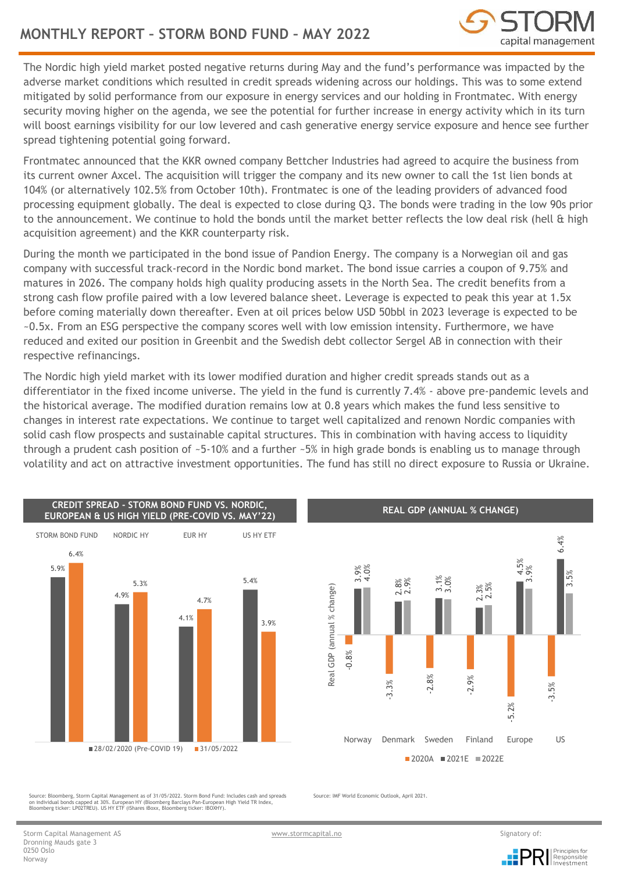

The Nordic high yield market posted negative returns during May and the fund's performance was impacted by the adverse market conditions which resulted in credit spreads widening across our holdings. This was to some extend mitigated by solid performance from our exposure in energy services and our holding in Frontmatec. With energy security moving higher on the agenda, we see the potential for further increase in energy activity which in its turn will boost earnings visibility for our low levered and cash generative energy service exposure and hence see further spread tightening potential going forward.

Frontmatec announced that the KKR owned company Bettcher Industries had agreed to acquire the business from its current owner Axcel. The acquisition will trigger the company and its new owner to call the 1st lien bonds at 104% (or alternatively 102.5% from October 10th). Frontmatec is one of the leading providers of advanced food processing equipment globally. The deal is expected to close during Q3. The bonds were trading in the low 90s prior to the announcement. We continue to hold the bonds until the market better reflects the low deal risk (hell & high acquisition agreement) and the KKR counterparty risk.

During the month we participated in the bond issue of Pandion Energy. The company is a Norwegian oil and gas company with successful track-record in the Nordic bond market. The bond issue carries a coupon of 9.75% and matures in 2026. The company holds high quality producing assets in the North Sea. The credit benefits from a strong cash flow profile paired with a low levered balance sheet. Leverage is expected to peak this year at 1.5x before coming materially down thereafter. Even at oil prices below USD 50bbl in 2023 leverage is expected to be ~0.5x. From an ESG perspective the company scores well with low emission intensity. Furthermore, we have reduced and exited our position in Greenbit and the Swedish debt collector Sergel AB in connection with their respective refinancings.

The Nordic high yield market with its lower modified duration and higher credit spreads stands out as a differentiator in the fixed income universe. The yield in the fund is currently 7.4% - above pre-pandemic levels and the historical average. The modified duration remains low at 0.8 years which makes the fund less sensitive to changes in interest rate expectations. We continue to target well capitalized and renown Nordic companies with solid cash flow prospects and sustainable capital structures. This in combination with having access to liquidity through a prudent cash position of ~5-10% and a further ~5% in high grade bonds is enabling us to manage through volatility and act on attractive investment opportunities. The fund has still no direct exposure to Russia or Ukraine.





**REAL GDP (ANNUAL % CHANGE)**

Source: Bloomberg, Storm Capital Management as of 31/05/2022. Storm Bond Fund: Includes cash and spreads<br>on individual bonds capped at 30%. European HY (Bloomberg Barclays Pan-European High Yield TR Index,<br>Bloomberg ticker

Source: IMF World Economic Outlook, April 2021.

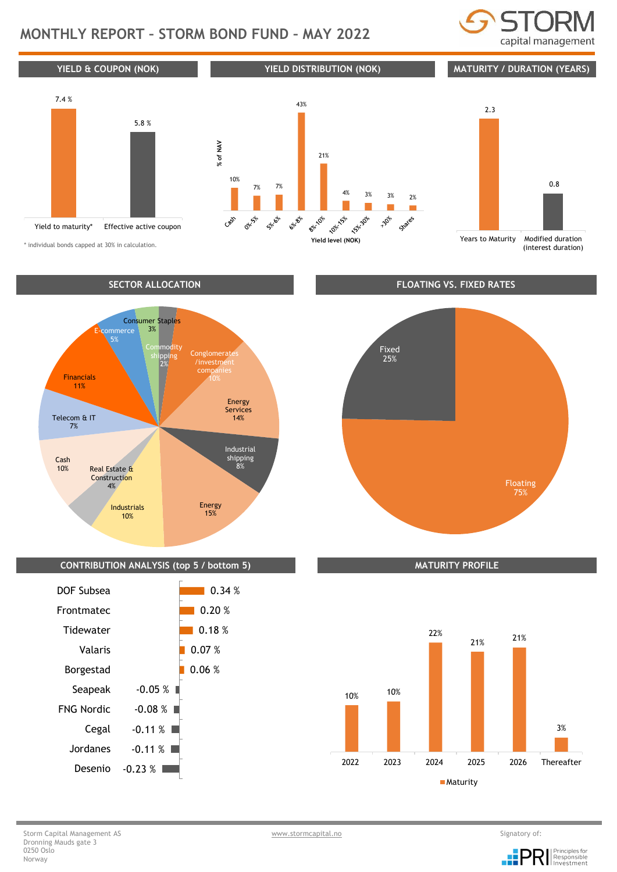# **MONTHLY REPORT – STORM BOND FUND – MAY 2022**





\* individual bonds capped at 30% in calculation.



## **CONTRIBUTION ANALYSIS (top 5 / bottom 5) MATURITY PROFILE**



Floating 75% Fixed 25%



#### Storm Capital Management AS and the storm of: the storm capital model of the storm capital model of the Signatory of: Dronning Mauds gate 3 0250 Oslo Norway

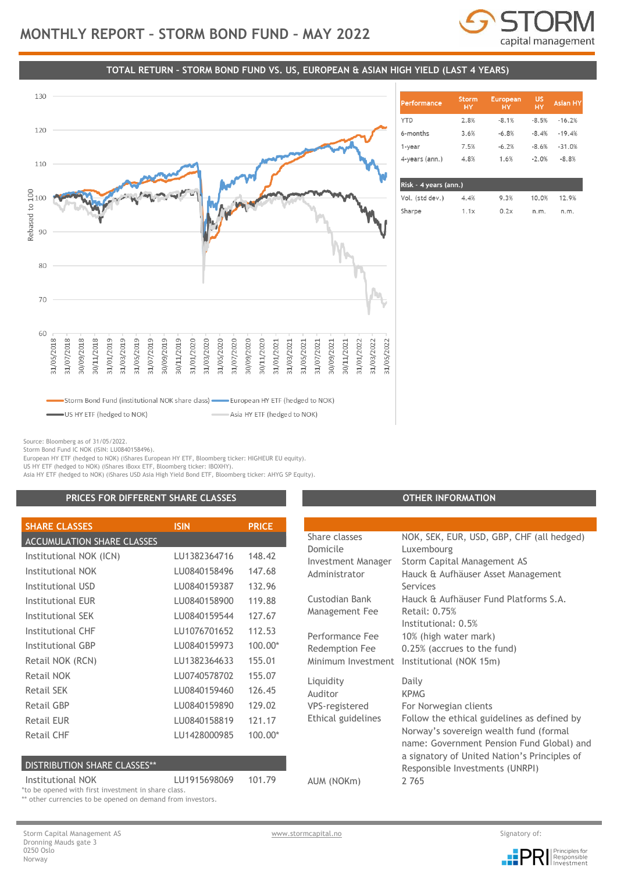

**US** 

**HY** 

 $-8.5%$ 

 $-8.4%$ 

 $-8.6%$ 

 $-2.0%$ 

10.0%

 $n<sub>m</sub>$ 

Asian H'

 $-16.2%$ 

 $-19.4%$ 

 $-31.0%$ 

 $-8.8%$ 

12.9%

n m

European

 $-8.1%$ 

 $-6.8%$ 

 $-6.2%$ 

 $1.6%$ 

## **TOTAL RETURN – STORM BOND FUND VS. US, EUROPEAN & ASIAN HIGH YIELD (LAST 4 YEARS)**



|   | Vol. (std dev.) | 4.4% | 9.3% |
|---|-----------------|------|------|
| V | Sharpe          | 1.1x | 0.2x |

Storm

2.8%

 $3.6%$ 

7.5%

 $4.8%$ 

**erformance** 

**YTD** 

6-months

4-years (ann.)

Risk - 4 years (ann.)

1-year

Source: Bloomberg as of 31/05/2022.

Storm Bond Fund IC NOK (ISIN: LU0840158496).

European HY ETF (hedged to NOK) (iShares European HY ETF, Bloomberg ticker: HIGHEUR EU equity).

US HY ETF (hedged to NOK) (iShares iBoxx ETF, Bloomberg ticker: IBOXHY).

Asia HY ETF (hedged to NOK) (iShares USD Asia High Yield Bond ETF, Bloomberg ticker: AHYG SP Equity).

## **PRICES FOR DIFFERENT SHARE CLASSES OTHER INFORMATION**

| <b>SHARE CLASSES</b>              | <b>ISIN</b>  | <b>PRICE</b> |
|-----------------------------------|--------------|--------------|
| <b>ACCUMULATION SHARE CLASSES</b> |              |              |
| Institutional NOK (ICN)           | LU1382364716 | 148.42       |
| Institutional NOK                 | LU0840158496 | 147.68       |
| Institutional USD                 | LU0840159387 | 132.96       |
| Institutional EUR                 | LU0840158900 | 119.88       |
| Institutional SEK                 | LU0840159544 | 127.67       |
| Institutional CHF                 | LU1076701652 | 112.53       |
| <b>Institutional GBP</b>          | LU0840159973 | $100.00*$    |
| Retail NOK (RCN)                  | LU1382364633 | 155.01       |
| Retail NOK                        | LU0740578702 | 155.07       |
| Retail SEK                        | LU0840159460 | 126.45       |
| Retail GBP                        | LU0840159890 | 129.02       |
| Retail EUR                        | LU0840158819 | 121.17       |
| Retail CHF                        | LU1428000985 | $100.00*$    |

#### DISTRIBUTION SHARE CLASSES\*\*

Institutional NOK LU1915698069 101.79 \*to be opened with first investment in share class.

\*\* other currencies to be opened on demand from investors.

Share classes NOK, SEK, EUR, USD, GBP, CHF (all hedged)

Domicile Luxembourg Investment Manager Storm Capital Management AS Administrator Hauck & Aufhäuser Asset Management Services Custodian Bank Hauck & Aufhäuser Fund Platforms S.A. Management Fee Retail: 0.75% Institutional: 0.5% Performance Fee 10% (high water mark) Redemption Fee 0.25% (accrues to the fund) Minimum Investment Institutional (NOK 15m) Liquidity Daily Auditor KPMG VPS-registered For Norwegian clients Ethical guidelines Follow the ethical guidelines as defined by Norway's sovereign wealth fund (formal name: Government Pension Fund Global) and a signatory of United Nation's Principles of Responsible Investments (UNRPI) AUM (NOKm) 2 765

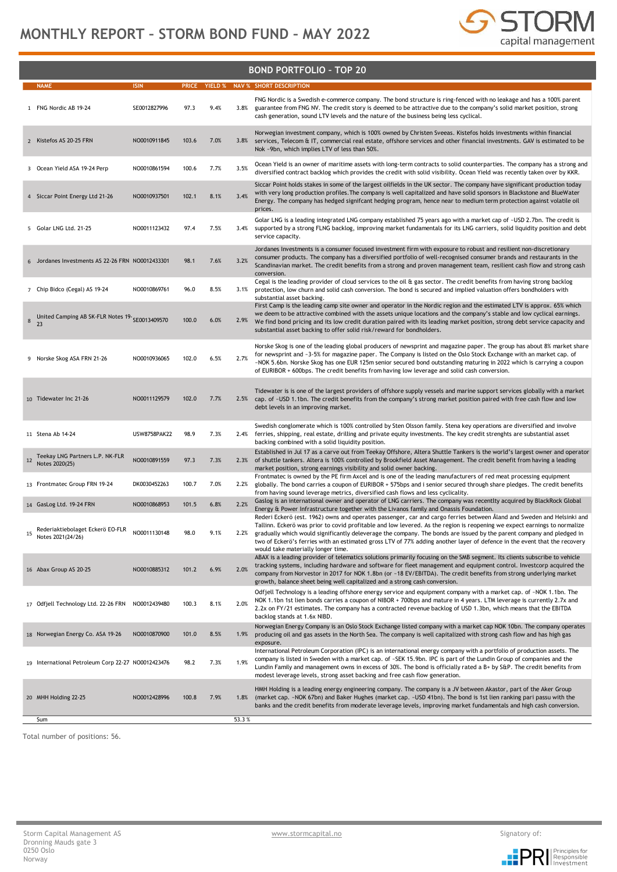

|    | <b>BOND PORTFOLIO - TOP 20</b>                        |                     |       |      |       |                                                                                                                                                                                                                                                                                                                                                                                                                                                                                                                                                 |  |  |  |
|----|-------------------------------------------------------|---------------------|-------|------|-------|-------------------------------------------------------------------------------------------------------------------------------------------------------------------------------------------------------------------------------------------------------------------------------------------------------------------------------------------------------------------------------------------------------------------------------------------------------------------------------------------------------------------------------------------------|--|--|--|
|    | <b>NAME</b>                                           | <b>ISIN</b>         |       |      |       | PRICE YIELD % NAV % SHORT DESCRIPTION                                                                                                                                                                                                                                                                                                                                                                                                                                                                                                           |  |  |  |
|    | 1 FNG Nordic AB 19-24                                 | SE0012827996        | 97.3  | 9.4% | 3.8%  | FNG Nordic is a Swedish e-commerce company. The bond structure is ring-fenced with no leakage and has a 100% parent<br>guarantee from FNG NV. The credit story is deemed to be attractive due to the company's solid market position, strong<br>cash generation, sound LTV levels and the nature of the business being less cyclical.                                                                                                                                                                                                           |  |  |  |
|    | 2 Kistefos AS 20-25 FRN                               | NO0010911845        | 103.6 | 7.0% | 3.8%  | Norwegian investment company, which is 100% owned by Christen Sveeas. Kistefos holds investments within financial<br>services, Telecom & IT, commercial real estate, offshore services and other financial investments. GAV is estimated to be<br>Nok -9bn, which implies LTV of less than 50%.                                                                                                                                                                                                                                                 |  |  |  |
|    | 3 Ocean Yield ASA 19-24 Perp                          | NO0010861594        | 100.6 | 7.7% | 3.5%  | Ocean Yield is an owner of maritime assets with long-term contracts to solid counterparties. The company has a strong and<br>diversified contract backlog which provides the credit with solid visibility. Ocean Yield was recently taken over by KKR.                                                                                                                                                                                                                                                                                          |  |  |  |
|    | 4 Siccar Point Energy Ltd 21-26                       | NO0010937501        | 102.1 | 8.1% | 3.4%  | Siccar Point holds stakes in some of the largest oilfields in the UK sector. The company have significant production today<br>with very long production profiles. The company is well capitalized and have solid sponsors in Blackstone and BlueWater<br>Energy. The company has hedged signifcant hedging program, hence near to medium term protection against volatile oil<br>prices.                                                                                                                                                        |  |  |  |
|    | 5 Golar LNG Ltd. 21-25                                | NO0011123432        | 97.4  | 7.5% | 3.4%  | Golar LNG is a leading integrated LNG company established 75 years ago with a market cap of ~USD 2.7bn. The credit is<br>supported by a strong FLNG backlog, improving market fundamentals for its LNG carriers, solid liquidity position and debt<br>service capacity.                                                                                                                                                                                                                                                                         |  |  |  |
|    | 6 Jordanes Investments AS 22-26 FRN NO0012433301      |                     | 98.1  | 7.6% | 3.2%  | Jordanes Investments is a consumer focused investment firm with exposure to robust and resilient non-discretionary<br>consumer products. The company has a diversified portfolio of well-recognised consumer brands and restaurants in the<br>Scandinavian market. The credit benefits from a strong and proven management team, resilient cash flow and strong cash<br>conversion.                                                                                                                                                             |  |  |  |
|    | 7 Chip Bidco (Cegal) AS 19-24                         | NO0010869761        | 96.0  | 8.5% | 3.1%  | Cegal is the leading provider of cloud services to the oil & gas sector. The credit benefits from having strong backlog<br>protection, low churn and solid cash conversion. The bond is secured and implied valuation offers bondholders with<br>substantial asset backing.                                                                                                                                                                                                                                                                     |  |  |  |
| 8  | United Camping AB SK-FLR Notes 19-<br>SE0013409570    |                     | 100.0 | 6.0% | 2.9%  | First Camp is the leading camp site owner and operator in the Nordic region and the estimated LTV is approx. 65% which<br>we deem to be attractive combined with the assets unique locations and the company's stable and low cyclical earnings.<br>We find bond pricing and its low credit duration paired with its leading market position, strong debt service capacity and<br>substantial asset backing to offer solid risk/reward for bondholders.                                                                                         |  |  |  |
|    | 9 Norske Skog ASA FRN 21-26                           | NO0010936065        | 102.0 | 6.5% | 2.7%  | Norske Skog is one of the leading global producers of newsprint and magazine paper. The group has about 8% market share<br>for newsprint and ~3-5% for magazine paper. The Company is listed on the Oslo Stock Exchange with an market cap. of<br>~NOK 5.6bn. Norske Skog has one EUR 125m senior secured bond outstanding maturing in 2022 which is carrying a coupon<br>of EURIBOR + 600bps. The credit benefits from having low leverage and solid cash conversion.                                                                          |  |  |  |
|    | 10 Tidewater Inc 21-26                                | NO0011129579        | 102.0 | 7.7% | 2.5%  | Tidewater is is one of the largest providers of offshore supply vessels and marine support services globally with a market<br>cap. of ~USD 1.1bn. The credit benefits from the company's strong market position paired with free cash flow and low<br>debt levels in an improving market.                                                                                                                                                                                                                                                       |  |  |  |
|    | 11 Stena Ab 14-24                                     | <b>USW8758PAK22</b> | 98.9  | 7.3% | 2.4%  | Swedish conglomerate which is 100% controlled by Sten Olsson family. Stena key operations are diversified and involve<br>ferries, shipping, real estate, drilling and private equity investments. The key credit strenghts are substantial asset<br>backing combined with a solid liquidity position.                                                                                                                                                                                                                                           |  |  |  |
| 12 | Teekay LNG Partners L.P. NK-FLR<br>Notes 2020(25)     | NO0010891559        | 97.3  | 7.3% | 2.3%  | Established in Jul 17 as a carve out from Teekay Offshore, Altera Shuttle Tankers is the world's largest owner and operator<br>of shuttle tankers. Altera is 100% controlled by Brookfield Asset Management. The credit benefit from having a leading<br>market position, strong earnings visibility and solid owner backing.                                                                                                                                                                                                                   |  |  |  |
|    | 13 Frontmatec Group FRN 19-24                         | DK0030452263        | 100.7 | 7.0% | 2.2%  | Frontmatec is owned by the PE firm Axcel and is one of the leading manufacturers of red meat processing equipment<br>globally. The bond carries a coupon of EURIBOR + 575bps and i senior secured through share pledges. The credit benefits<br>from having sound leverage metrics, diversified cash flows and less cyclicality.                                                                                                                                                                                                                |  |  |  |
|    | 14 GasLog Ltd. 19-24 FRN                              | NO0010868953        | 101.5 | 6.8% | 2.2%  | Gaslog is an international owner and operator of LNG carriers. The company was recentlty acquired by BlackRock Global<br>Energy & Power Infrastructure together with the Livanos family and Onassis Foundation.                                                                                                                                                                                                                                                                                                                                 |  |  |  |
| 15 | Rederiaktiebolaget Eckerö EO-FLR<br>Notes 2021(24/26) | NO0011130148        | 98.0  | 9.1% |       | Rederi Eckerö (est. 1962) owns and operates passenger, car and cargo ferries between Åland and Sweden and Helsinki and<br>Tallinn. Eckerö was prior to covid profitable and low levered. As the region is reopening we expect earnings to normalize<br>gradually which would significantly deleverage the company. The bonds are issued by the parent company and pledged in<br>two of Eckerö's ferries with an estimated gross LTV of 77% adding another layer of defence in the event that the recovery<br>would take materially longer time. |  |  |  |
|    | 16 Abax Group AS 20-25                                | NO0010885312        | 101.2 | 6.9% | 2.0%  | ABAX is a leading provider of telematics solutions primarily focusing on the SMB segment. Its clients subscribe to vehicle<br>tracking systems, including hardware and software for fleet management and equipment control. Investcorp acquired the<br>company from Norvestor in 2017 for NOK 1.8bn (or ~18 EV/EBITDA). The credit benefits from strong underlying market<br>growth, balance sheet being well capitalized and a strong cash conversion.                                                                                         |  |  |  |
|    | 17 Odfjell Technology Ltd. 22-26 FRN NO0012439480     |                     | 100.3 | 8.1% | 2.0%  | Odfjell Technology is a leading offshore energy service and equipment company with a market cap. of ~NOK 1.1bn. The<br>NOK 1.1bn 1st lien bonds carries a coupon of NIBOR + 700bps and mature in 4 years. LTM leverage is currently 2.7x and<br>2.2x on FY/21 estimates. The company has a contracted revenue backlog of USD 1.3bn, which means that the EBITDA<br>backlog stands at 1.6x NIBD.                                                                                                                                                 |  |  |  |
|    | 18 Norwegian Energy Co. ASA 19-26                     | NO0010870900        | 101.0 | 8.5% | 1.9%  | Norwegian Energy Company is an Oslo Stock Exchange listed company with a market cap NOK 10bn. The company operates<br>producing oil and gas assets in the North Sea. The company is well capitalized with strong cash flow and has high gas<br>exposure.                                                                                                                                                                                                                                                                                        |  |  |  |
|    | 19 International Petroleum Corp 22-27 NO0012423476    |                     | 98.2  | 7.3% | 1.9%  | International Petroleum Corporation (IPC) is an international energy company with a portfolio of production assets. The<br>company is listed in Sweden with a market cap. of ~SEK 15.9bn. IPC is part of the Lundin Group of companies and the<br>Lundin Family and management owns in excess of 30%. The bond is officially rated a B+ by S&P. The credit benefits from<br>modest leverage levels, strong asset backing and free cash flow generation.                                                                                         |  |  |  |
|    | 20 MHH Holding 22-25                                  | NO0012428996        | 100.8 | 7.9% | 1.8%  | HMH Holding is a leading energy engineering company. The company is a JV between Akastor, part of the Aker Group<br>(market cap. -NOK 67bn) and Baker Hughes (market cap. -USD 41bn). The bond is 1st lien ranking pari passu with the<br>banks and the credit benefits from moderate leverage levels, improving market fundamentals and high cash conversion.                                                                                                                                                                                  |  |  |  |
|    | Sum                                                   |                     |       |      | 53.3% |                                                                                                                                                                                                                                                                                                                                                                                                                                                                                                                                                 |  |  |  |

Total number of positions: 56.